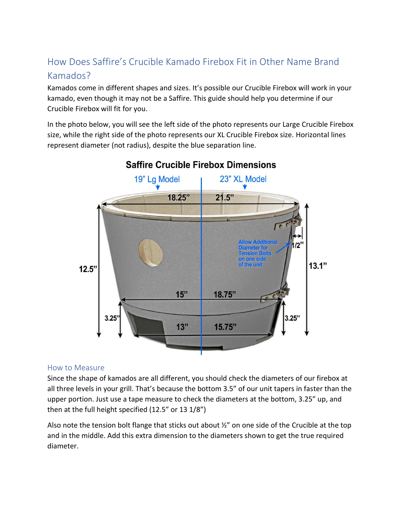## How Does Saffire's Crucible Kamado Firebox Fit in Other Name Brand Kamados?

Kamados come in different shapes and sizes. It's possible our Crucible Firebox will work in your kamado, even though it may not be a Saffire. This guide should help you determine if our Crucible Firebox will fit for you.

In the photo below, you will see the left side of the photo represents our Large Crucible Firebox size, while the right side of the photo represents our XL Crucible Firebox size. Horizontal lines represent diameter (not radius), despite the blue separation line.



## **Saffire Crucible Firebox Dimensions**

## How to Measure

Since the shape of kamados are all different, you should check the diameters of our firebox at all three levels in your grill. That's because the bottom 3.5" of our unit tapers in faster than the upper portion. Just use a tape measure to check the diameters at the bottom, 3.25" up, and then at the full height specified (12.5" or 13 1/8")

Also note the tension bolt flange that sticks out about  $\frac{1}{2}$ " on one side of the Crucible at the top and in the middle. Add this extra dimension to the diameters shown to get the true required diameter.